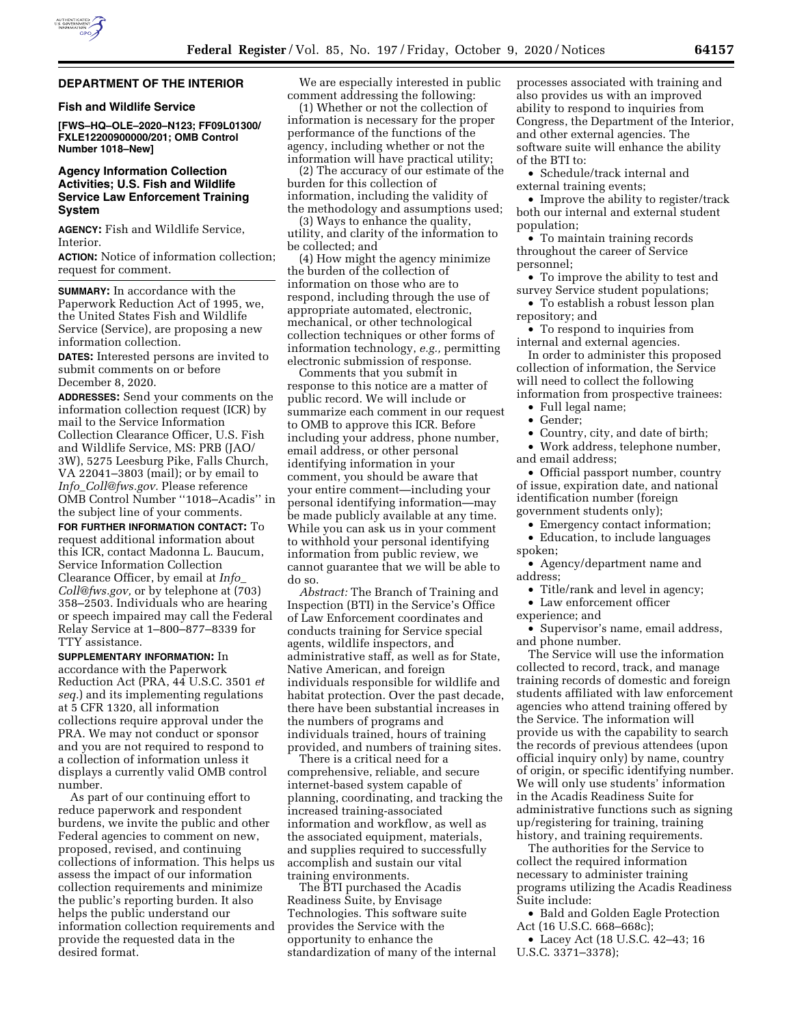

#### **DEPARTMENT OF THE INTERIOR**

# **Fish and Wildlife Service**

**[FWS–HQ–OLE–2020–N123; FF09L01300/ FXLE12200900000/201; OMB Control Number 1018–New]** 

# **Agency Information Collection Activities; U.S. Fish and Wildlife Service Law Enforcement Training System**

**AGENCY:** Fish and Wildlife Service, Interior.

**ACTION:** Notice of information collection; request for comment.

**SUMMARY:** In accordance with the Paperwork Reduction Act of 1995, we, the United States Fish and Wildlife Service (Service), are proposing a new information collection.

**DATES:** Interested persons are invited to submit comments on or before December 8, 2020.

**ADDRESSES:** Send your comments on the information collection request (ICR) by mail to the Service Information Collection Clearance Officer, U.S. Fish and Wildlife Service, MS: PRB (JAO/ 3W), 5275 Leesburg Pike, Falls Church, VA 22041–3803 (mail); or by email to *Info*\_*[Coll@fws.gov.](mailto:Info_Coll@fws.gov)* Please reference OMB Control Number ''1018–Acadis'' in the subject line of your comments.

**FOR FURTHER INFORMATION CONTACT:** To request additional information about this ICR, contact Madonna L. Baucum, Service Information Collection Clearance Officer, by email at *[Info](mailto:Info_Coll@fws.gov)*\_ *[Coll@fws.gov,](mailto:Info_Coll@fws.gov)* or by telephone at (703) 358–2503. Individuals who are hearing or speech impaired may call the Federal Relay Service at 1–800–877–8339 for TTY assistance.

**SUPPLEMENTARY INFORMATION:** In accordance with the Paperwork Reduction Act (PRA, 44 U.S.C. 3501 *et seq.*) and its implementing regulations at 5 CFR 1320, all information collections require approval under the PRA. We may not conduct or sponsor and you are not required to respond to a collection of information unless it displays a currently valid OMB control number.

As part of our continuing effort to reduce paperwork and respondent burdens, we invite the public and other Federal agencies to comment on new, proposed, revised, and continuing collections of information. This helps us assess the impact of our information collection requirements and minimize the public's reporting burden. It also helps the public understand our information collection requirements and provide the requested data in the desired format.

We are especially interested in public comment addressing the following:

(1) Whether or not the collection of information is necessary for the proper performance of the functions of the agency, including whether or not the information will have practical utility;

(2) The accuracy of our estimate of the burden for this collection of information, including the validity of the methodology and assumptions used;

(3) Ways to enhance the quality, utility, and clarity of the information to be collected; and

(4) How might the agency minimize the burden of the collection of information on those who are to respond, including through the use of appropriate automated, electronic, mechanical, or other technological collection techniques or other forms of information technology, *e.g.,* permitting electronic submission of response.

Comments that you submit in response to this notice are a matter of public record. We will include or summarize each comment in our request to OMB to approve this ICR. Before including your address, phone number, email address, or other personal identifying information in your comment, you should be aware that your entire comment—including your personal identifying information—may be made publicly available at any time. While you can ask us in your comment to withhold your personal identifying information from public review, we cannot guarantee that we will be able to do so.

*Abstract:* The Branch of Training and Inspection (BTI) in the Service's Office of Law Enforcement coordinates and conducts training for Service special agents, wildlife inspectors, and administrative staff, as well as for State, Native American, and foreign individuals responsible for wildlife and habitat protection. Over the past decade, there have been substantial increases in the numbers of programs and individuals trained, hours of training provided, and numbers of training sites.

There is a critical need for a comprehensive, reliable, and secure internet-based system capable of planning, coordinating, and tracking the increased training-associated information and workflow, as well as the associated equipment, materials, and supplies required to successfully accomplish and sustain our vital training environments.

The BTI purchased the Acadis Readiness Suite, by Envisage Technologies. This software suite provides the Service with the opportunity to enhance the standardization of many of the internal processes associated with training and also provides us with an improved ability to respond to inquiries from Congress, the Department of the Interior, and other external agencies. The software suite will enhance the ability of the BTI to:

• Schedule/track internal and external training events;

• Improve the ability to register/track both our internal and external student population;

• To maintain training records throughout the career of Service personnel;

• To improve the ability to test and survey Service student populations;

• To establish a robust lesson plan repository; and

• To respond to inquiries from internal and external agencies.

In order to administer this proposed collection of information, the Service will need to collect the following information from prospective trainees:

• Full legal name;

• Gender;

• Country, city, and date of birth;

• Work address, telephone number, and email address;

• Official passport number, country of issue, expiration date, and national identification number (foreign government students only);

• Emergency contact information; • Education, to include languages spoken;

• Agency/department name and address;

• Title/rank and level in agency;

• Law enforcement officer experience; and

• Supervisor's name, email address, and phone number.

The Service will use the information collected to record, track, and manage training records of domestic and foreign students affiliated with law enforcement agencies who attend training offered by the Service. The information will provide us with the capability to search the records of previous attendees (upon official inquiry only) by name, country of origin, or specific identifying number. We will only use students' information in the Acadis Readiness Suite for administrative functions such as signing up/registering for training, training history, and training requirements.

The authorities for the Service to collect the required information necessary to administer training programs utilizing the Acadis Readiness Suite include:

• Bald and Golden Eagle Protection Act (16 U.S.C. 668–668c);

• Lacey Act (18 U.S.C. 42–43; 16 U.S.C. 3371–3378);